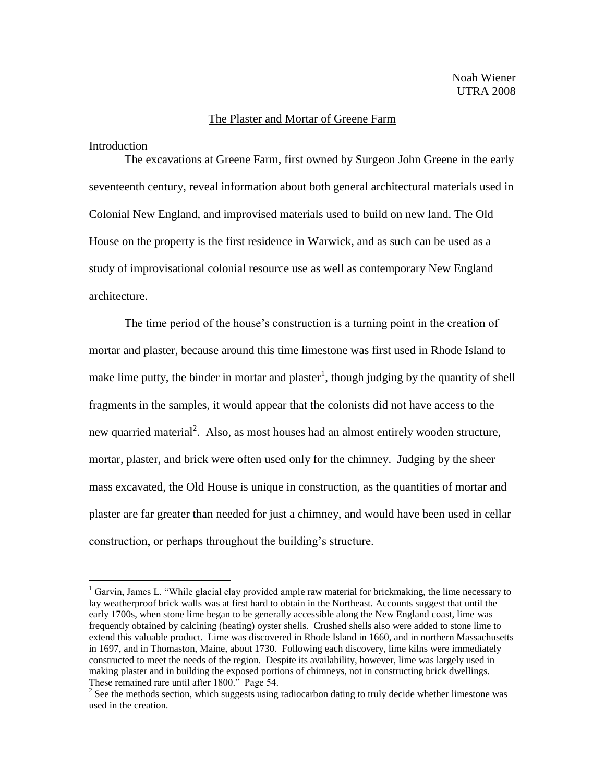## The Plaster and Mortar of Greene Farm

Introduction

 $\overline{a}$ 

The excavations at Greene Farm, first owned by Surgeon John Greene in the early seventeenth century, reveal information about both general architectural materials used in Colonial New England, and improvised materials used to build on new land. The Old House on the property is the first residence in Warwick, and as such can be used as a study of improvisational colonial resource use as well as contemporary New England architecture.

The time period of the house's construction is a turning point in the creation of mortar and plaster, because around this time limestone was first used in Rhode Island to make lime putty, the binder in mortar and plaster<sup>1</sup>, though judging by the quantity of shell fragments in the samples, it would appear that the colonists did not have access to the new quarried material<sup>2</sup>. Also, as most houses had an almost entirely wooden structure, mortar, plaster, and brick were often used only for the chimney. Judging by the sheer mass excavated, the Old House is unique in construction, as the quantities of mortar and plaster are far greater than needed for just a chimney, and would have been used in cellar construction, or perhaps throughout the building's structure.

<sup>&</sup>lt;sup>1</sup> Garvin, James L. "While glacial clay provided ample raw material for brickmaking, the lime necessary to lay weatherproof brick walls was at first hard to obtain in the Northeast. Accounts suggest that until the early 1700s, when stone lime began to be generally accessible along the New England coast, lime was frequently obtained by calcining (heating) oyster shells. Crushed shells also were added to stone lime to extend this valuable product. Lime was discovered in Rhode Island in 1660, and in northern Massachusetts in 1697, and in Thomaston, Maine, about 1730. Following each discovery, lime kilns were immediately constructed to meet the needs of the region. Despite its availability, however, lime was largely used in making plaster and in building the exposed portions of chimneys, not in constructing brick dwellings. These remained rare until after 1800." Page 54.

 $2^2$  See the methods section, which suggests using radiocarbon dating to truly decide whether limestone was used in the creation.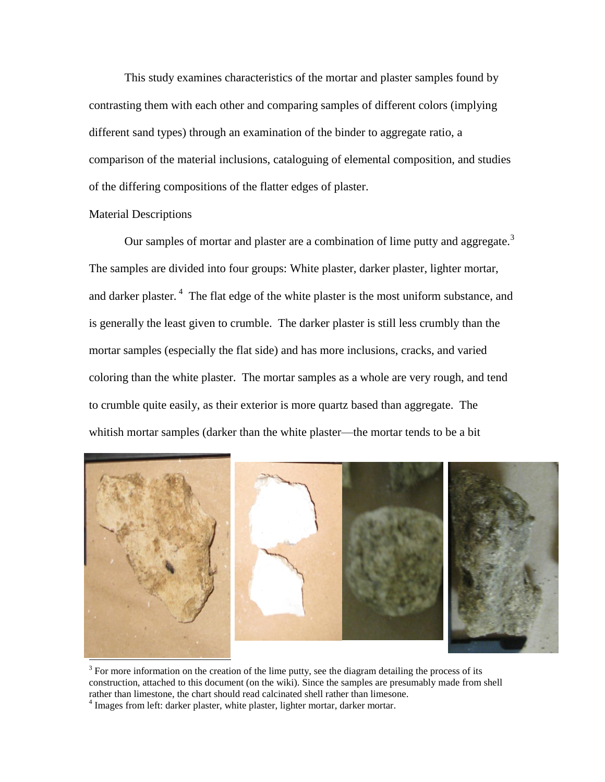This study examines characteristics of the mortar and plaster samples found by contrasting them with each other and comparing samples of different colors (implying different sand types) through an examination of the binder to aggregate ratio, a comparison of the material inclusions, cataloguing of elemental composition, and studies of the differing compositions of the flatter edges of plaster.

## Material Descriptions

Our samples of mortar and plaster are a combination of lime putty and aggregate.<sup>3</sup> The samples are divided into four groups: White plaster, darker plaster, lighter mortar, and darker plaster.  $4$  The flat edge of the white plaster is the most uniform substance, and is generally the least given to crumble. The darker plaster is still less crumbly than the mortar samples (especially the flat side) and has more inclusions, cracks, and varied coloring than the white plaster. The mortar samples as a whole are very rough, and tend to crumble quite easily, as their exterior is more quartz based than aggregate. The whitish mortar samples (darker than the white plaster—the mortar tends to be a bit



 $3$  For more information on the creation of the lime putty, see the diagram detailing the process of its construction, attached to this document (on the wiki). Since the samples are presumably made from shell rather than limestone, the chart should read calcinated shell rather than limesone.

 $4$  Images from left: darker plaster, white plaster, lighter mortar, darker mortar.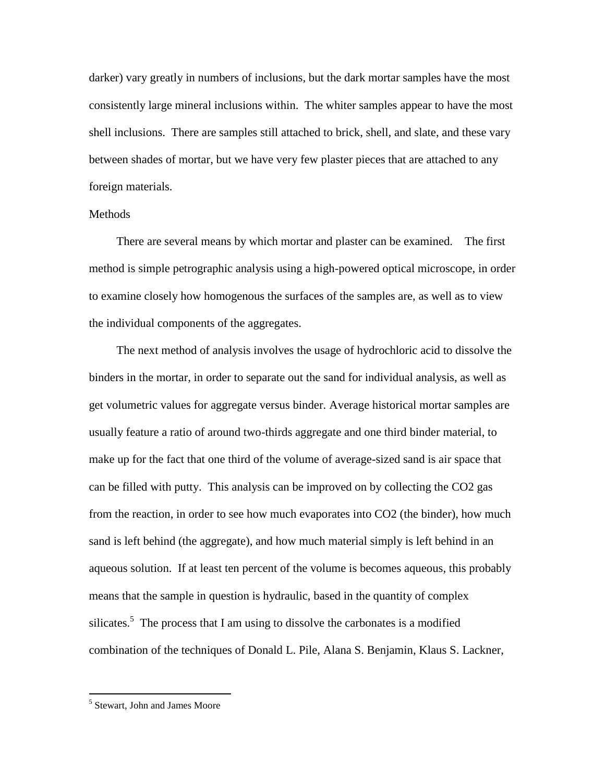darker) vary greatly in numbers of inclusions, but the dark mortar samples have the most consistently large mineral inclusions within. The whiter samples appear to have the most shell inclusions. There are samples still attached to brick, shell, and slate, and these vary between shades of mortar, but we have very few plaster pieces that are attached to any foreign materials.

## **Methods**

There are several means by which mortar and plaster can be examined. The first method is simple petrographic analysis using a high-powered optical microscope, in order to examine closely how homogenous the surfaces of the samples are, as well as to view the individual components of the aggregates.

The next method of analysis involves the usage of hydrochloric acid to dissolve the binders in the mortar, in order to separate out the sand for individual analysis, as well as get volumetric values for aggregate versus binder. Average historical mortar samples are usually feature a ratio of around two-thirds aggregate and one third binder material, to make up for the fact that one third of the volume of average-sized sand is air space that can be filled with putty. This analysis can be improved on by collecting the CO2 gas from the reaction, in order to see how much evaporates into CO2 (the binder), how much sand is left behind (the aggregate), and how much material simply is left behind in an aqueous solution. If at least ten percent of the volume is becomes aqueous, this probably means that the sample in question is hydraulic, based in the quantity of complex silicates.<sup>5</sup> The process that I am using to dissolve the carbonates is a modified combination of the techniques of Donald L. Pile, Alana S. Benjamin, Klaus S. Lackner,

<sup>&</sup>lt;sup>5</sup> Stewart, John and James Moore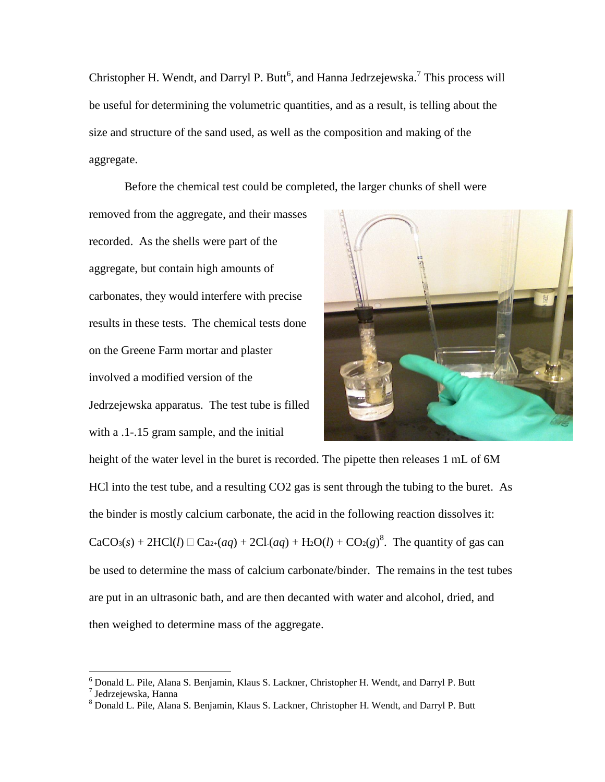Christopher H. Wendt, and Darryl P. Butt<sup>6</sup>, and Hanna Jedrzejewska.<sup>7</sup> This process will be useful for determining the volumetric quantities, and as a result, is telling about the size and structure of the sand used, as well as the composition and making of the aggregate.

Before the chemical test could be completed, the larger chunks of shell were

removed from the aggregate, and their masses recorded. As the shells were part of the aggregate, but contain high amounts of carbonates, they would interfere with precise results in these tests. The chemical tests done on the Greene Farm mortar and plaster involved a modified version of the Jedrzejewska apparatus. The test tube is filled with a  $.1 - .15$  gram sample, and the initial



height of the water level in the buret is recorded. The pipette then releases 1 mL of 6M HCl into the test tube, and a resulting CO2 gas is sent through the tubing to the buret. As the binder is mostly calcium carbonate, the acid in the following reaction dissolves it:  $CaCO<sub>3</sub>(s) + 2HCl(l) \square Ca<sub>2+</sub>(aq) + 2Cl·(aq) + H<sub>2</sub>O(l) + CO<sub>2</sub>(g)<sup>8</sup>$ . The quantity of gas can be used to determine the mass of calcium carbonate/binder. The remains in the test tubes are put in an ultrasonic bath, and are then decanted with water and alcohol, dried, and then weighed to determine mass of the aggregate.

 $^6$  Donald L. Pile, Alana S. Benjamin, Klaus S. Lackner, Christopher H. Wendt, and Darryl P. Butt<br><sup>7</sup> Jedrzejewska, Hanna

<sup>8</sup> Donald L. Pile, Alana S. Benjamin, Klaus S. Lackner, Christopher H. Wendt, and Darryl P. Butt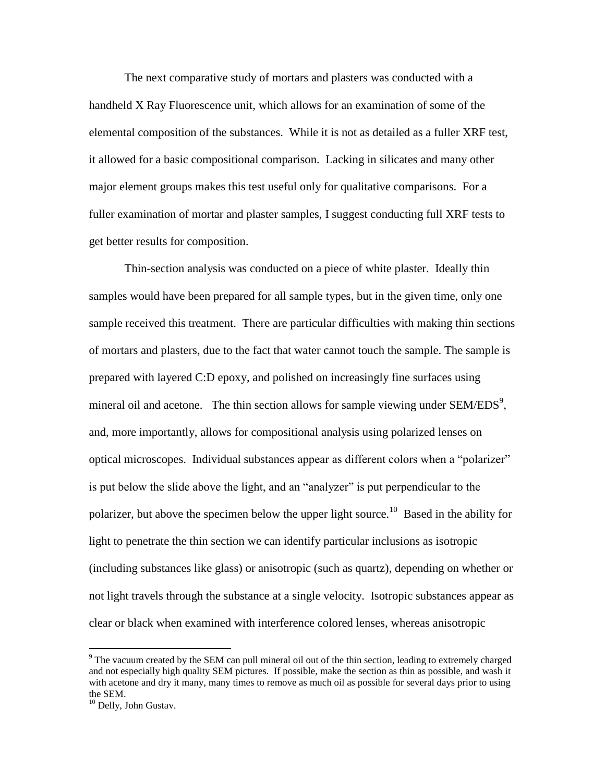The next comparative study of mortars and plasters was conducted with a handheld X Ray Fluorescence unit, which allows for an examination of some of the elemental composition of the substances. While it is not as detailed as a fuller XRF test, it allowed for a basic compositional comparison. Lacking in silicates and many other major element groups makes this test useful only for qualitative comparisons. For a fuller examination of mortar and plaster samples, I suggest conducting full XRF tests to get better results for composition.

Thin-section analysis was conducted on a piece of white plaster. Ideally thin samples would have been prepared for all sample types, but in the given time, only one sample received this treatment. There are particular difficulties with making thin sections of mortars and plasters, due to the fact that water cannot touch the sample. The sample is prepared with layered C:D epoxy, and polished on increasingly fine surfaces using mineral oil and acetone. The thin section allows for sample viewing under  $SEM/EDS<sup>9</sup>$ , and, more importantly, allows for compositional analysis using polarized lenses on optical microscopes. Individual substances appear as different colors when a "polarizer" is put below the slide above the light, and an "analyzer" is put perpendicular to the polarizer, but above the specimen below the upper light source.<sup>10</sup> Based in the ability for light to penetrate the thin section we can identify particular inclusions as isotropic (including substances like glass) or anisotropic (such as quartz), depending on whether or not light travels through the substance at a single velocity. Isotropic substances appear as clear or black when examined with interference colored lenses, whereas anisotropic

 $9$  The vacuum created by the SEM can pull mineral oil out of the thin section, leading to extremely charged and not especially high quality SEM pictures. If possible, make the section as thin as possible, and wash it with acetone and dry it many, many times to remove as much oil as possible for several days prior to using the SEM.

<sup>&</sup>lt;sup>10</sup> Delly, John Gustav.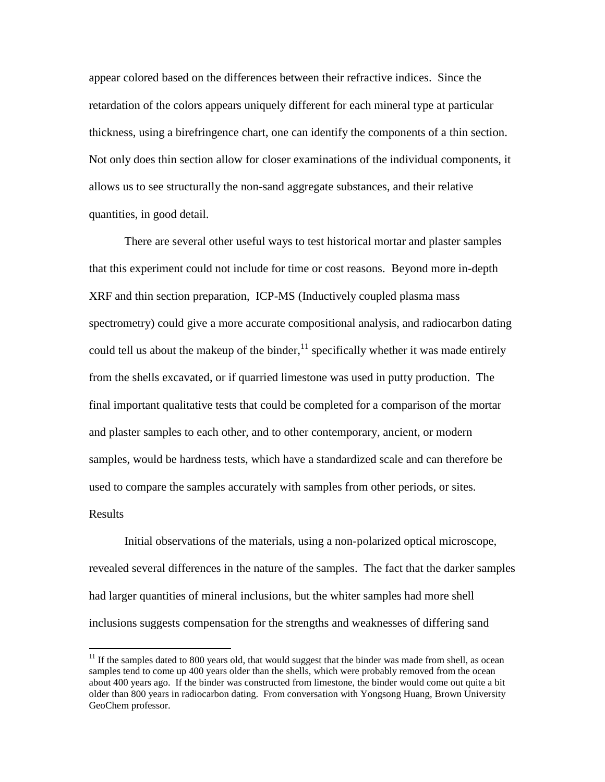appear colored based on the differences between their refractive indices. Since the retardation of the colors appears uniquely different for each mineral type at particular thickness, using a birefringence chart, one can identify the components of a thin section. Not only does thin section allow for closer examinations of the individual components, it allows us to see structurally the non-sand aggregate substances, and their relative quantities, in good detail.

There are several other useful ways to test historical mortar and plaster samples that this experiment could not include for time or cost reasons. Beyond more in-depth XRF and thin section preparation, ICP-MS (Inductively coupled plasma mass spectrometry) could give a more accurate compositional analysis, and radiocarbon dating could tell us about the makeup of the binder, $^{11}$  specifically whether it was made entirely from the shells excavated, or if quarried limestone was used in putty production. The final important qualitative tests that could be completed for a comparison of the mortar and plaster samples to each other, and to other contemporary, ancient, or modern samples, would be hardness tests, which have a standardized scale and can therefore be used to compare the samples accurately with samples from other periods, or sites. Results

Initial observations of the materials, using a non-polarized optical microscope, revealed several differences in the nature of the samples. The fact that the darker samples had larger quantities of mineral inclusions, but the whiter samples had more shell inclusions suggests compensation for the strengths and weaknesses of differing sand

 $11$  If the samples dated to 800 years old, that would suggest that the binder was made from shell, as ocean samples tend to come up 400 years older than the shells, which were probably removed from the ocean about 400 years ago. If the binder was constructed from limestone, the binder would come out quite a bit older than 800 years in radiocarbon dating. From conversation with Yongsong Huang, Brown University GeoChem professor.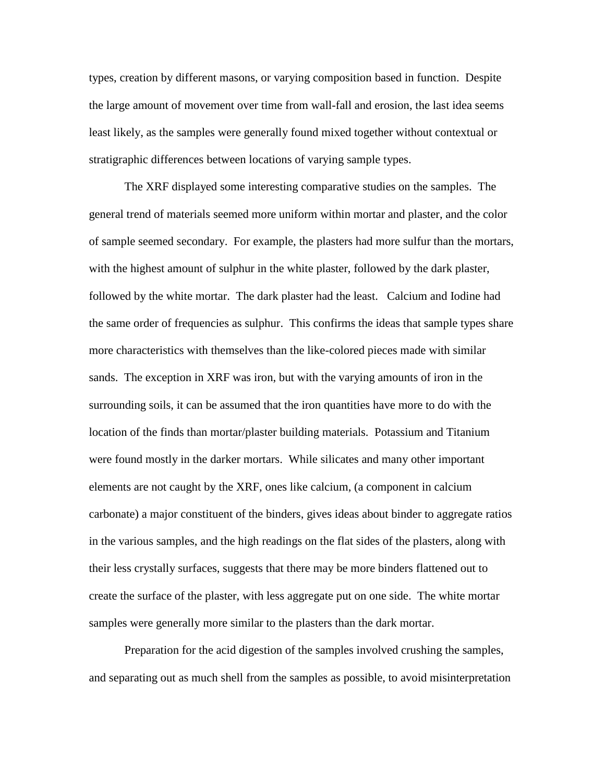types, creation by different masons, or varying composition based in function. Despite the large amount of movement over time from wall-fall and erosion, the last idea seems least likely, as the samples were generally found mixed together without contextual or stratigraphic differences between locations of varying sample types.

The XRF displayed some interesting comparative studies on the samples. The general trend of materials seemed more uniform within mortar and plaster, and the color of sample seemed secondary. For example, the plasters had more sulfur than the mortars, with the highest amount of sulphur in the white plaster, followed by the dark plaster, followed by the white mortar. The dark plaster had the least. Calcium and Iodine had the same order of frequencies as sulphur. This confirms the ideas that sample types share more characteristics with themselves than the like-colored pieces made with similar sands. The exception in XRF was iron, but with the varying amounts of iron in the surrounding soils, it can be assumed that the iron quantities have more to do with the location of the finds than mortar/plaster building materials. Potassium and Titanium were found mostly in the darker mortars. While silicates and many other important elements are not caught by the XRF, ones like calcium, (a component in calcium carbonate) a major constituent of the binders, gives ideas about binder to aggregate ratios in the various samples, and the high readings on the flat sides of the plasters, along with their less crystally surfaces, suggests that there may be more binders flattened out to create the surface of the plaster, with less aggregate put on one side. The white mortar samples were generally more similar to the plasters than the dark mortar.

Preparation for the acid digestion of the samples involved crushing the samples, and separating out as much shell from the samples as possible, to avoid misinterpretation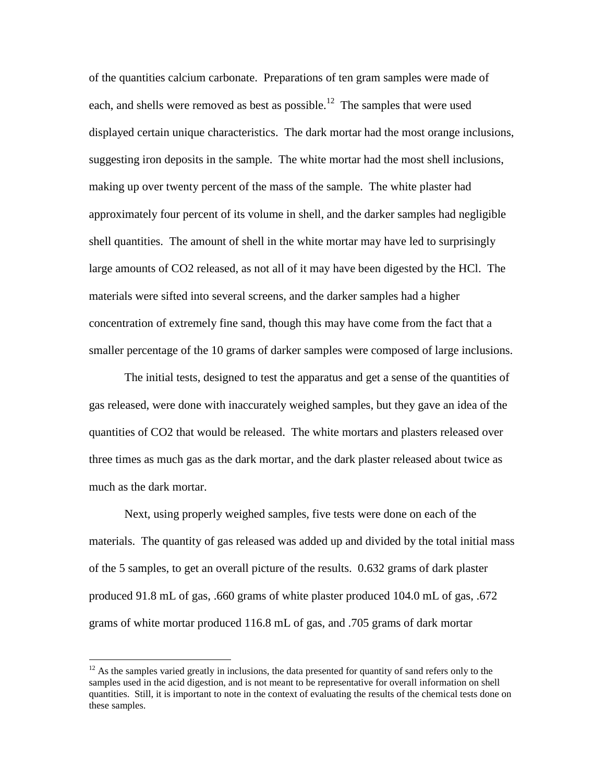of the quantities calcium carbonate. Preparations of ten gram samples were made of each, and shells were removed as best as possible.<sup>12</sup> The samples that were used displayed certain unique characteristics. The dark mortar had the most orange inclusions, suggesting iron deposits in the sample. The white mortar had the most shell inclusions, making up over twenty percent of the mass of the sample. The white plaster had approximately four percent of its volume in shell, and the darker samples had negligible shell quantities. The amount of shell in the white mortar may have led to surprisingly large amounts of CO2 released, as not all of it may have been digested by the HCl. The materials were sifted into several screens, and the darker samples had a higher concentration of extremely fine sand, though this may have come from the fact that a smaller percentage of the 10 grams of darker samples were composed of large inclusions.

The initial tests, designed to test the apparatus and get a sense of the quantities of gas released, were done with inaccurately weighed samples, but they gave an idea of the quantities of CO2 that would be released. The white mortars and plasters released over three times as much gas as the dark mortar, and the dark plaster released about twice as much as the dark mortar.

Next, using properly weighed samples, five tests were done on each of the materials. The quantity of gas released was added up and divided by the total initial mass of the 5 samples, to get an overall picture of the results. 0.632 grams of dark plaster produced 91.8 mL of gas, .660 grams of white plaster produced 104.0 mL of gas, .672 grams of white mortar produced 116.8 mL of gas, and .705 grams of dark mortar

 $12$  As the samples varied greatly in inclusions, the data presented for quantity of sand refers only to the samples used in the acid digestion, and is not meant to be representative for overall information on shell quantities. Still, it is important to note in the context of evaluating the results of the chemical tests done on these samples.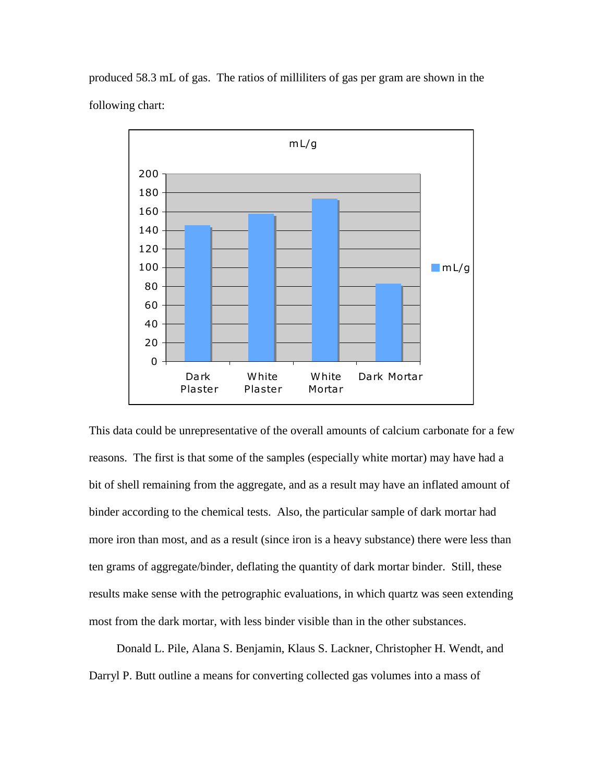produced 58.3 mL of gas. The ratios of milliliters of gas per gram are shown in the following chart:



This data could be unrepresentative of the overall amounts of calcium carbonate for a few reasons. The first is that some of the samples (especially white mortar) may have had a bit of shell remaining from the aggregate, and as a result may have an inflated amount of binder according to the chemical tests. Also, the particular sample of dark mortar had more iron than most, and as a result (since iron is a heavy substance) there were less than ten grams of aggregate/binder, deflating the quantity of dark mortar binder. Still, these results make sense with the petrographic evaluations, in which quartz was seen extending most from the dark mortar, with less binder visible than in the other substances.

Donald L. Pile, Alana S. Benjamin, Klaus S. Lackner, Christopher H. Wendt, and Darryl P. Butt outline a means for converting collected gas volumes into a mass of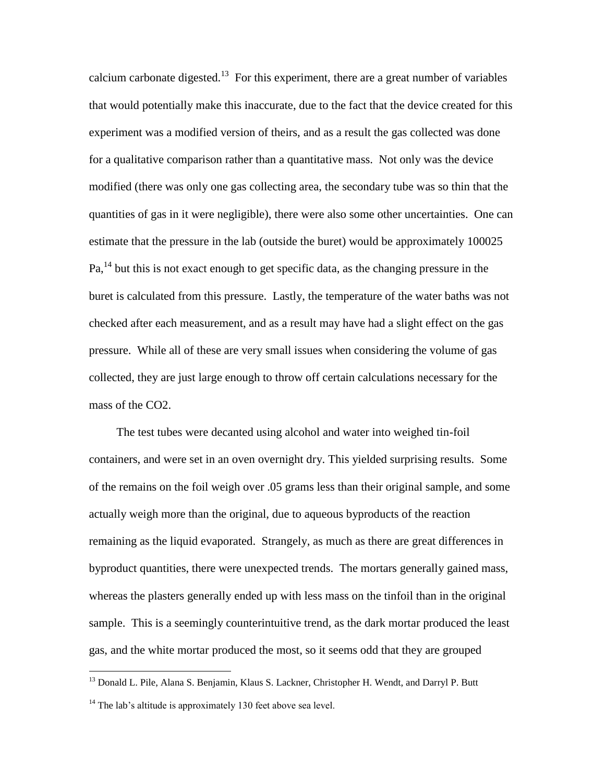calcium carbonate digested.<sup>13</sup> For this experiment, there are a great number of variables that would potentially make this inaccurate, due to the fact that the device created for this experiment was a modified version of theirs, and as a result the gas collected was done for a qualitative comparison rather than a quantitative mass. Not only was the device modified (there was only one gas collecting area, the secondary tube was so thin that the quantities of gas in it were negligible), there were also some other uncertainties. One can estimate that the pressure in the lab (outside the buret) would be approximately 100025  $Pa<sub>14</sub><sup>14</sup>$  but this is not exact enough to get specific data, as the changing pressure in the buret is calculated from this pressure. Lastly, the temperature of the water baths was not checked after each measurement, and as a result may have had a slight effect on the gas pressure. While all of these are very small issues when considering the volume of gas collected, they are just large enough to throw off certain calculations necessary for the mass of the CO2.

The test tubes were decanted using alcohol and water into weighed tin-foil containers, and were set in an oven overnight dry. This yielded surprising results. Some of the remains on the foil weigh over .05 grams less than their original sample, and some actually weigh more than the original, due to aqueous byproducts of the reaction remaining as the liquid evaporated. Strangely, as much as there are great differences in byproduct quantities, there were unexpected trends. The mortars generally gained mass, whereas the plasters generally ended up with less mass on the tinfoil than in the original sample. This is a seemingly counterintuitive trend, as the dark mortar produced the least gas, and the white mortar produced the most, so it seems odd that they are grouped

<sup>&</sup>lt;sup>13</sup> Donald L. Pile, Alana S. Benjamin, Klaus S. Lackner, Christopher H. Wendt, and Darryl P. Butt

 $14$  The lab's altitude is approximately 130 feet above sea level.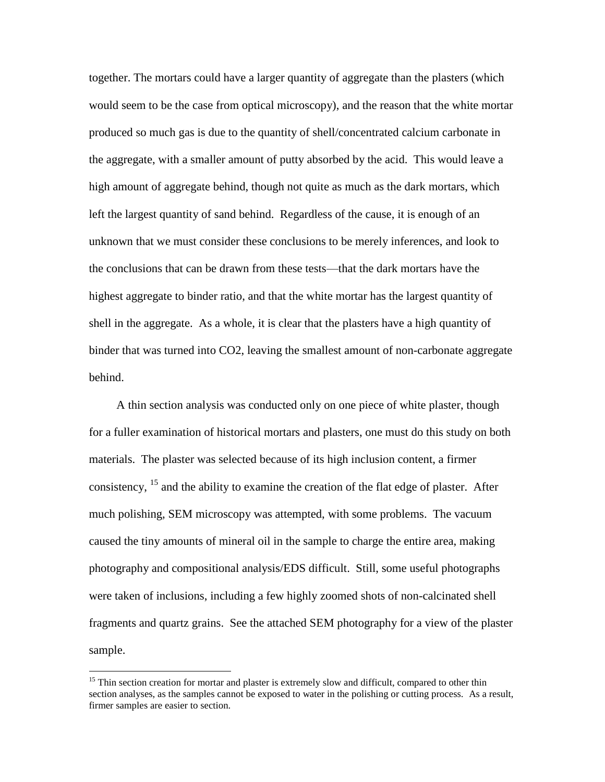together. The mortars could have a larger quantity of aggregate than the plasters (which would seem to be the case from optical microscopy), and the reason that the white mortar produced so much gas is due to the quantity of shell/concentrated calcium carbonate in the aggregate, with a smaller amount of putty absorbed by the acid. This would leave a high amount of aggregate behind, though not quite as much as the dark mortars, which left the largest quantity of sand behind. Regardless of the cause, it is enough of an unknown that we must consider these conclusions to be merely inferences, and look to the conclusions that can be drawn from these tests—that the dark mortars have the highest aggregate to binder ratio, and that the white mortar has the largest quantity of shell in the aggregate. As a whole, it is clear that the plasters have a high quantity of binder that was turned into CO2, leaving the smallest amount of non-carbonate aggregate behind.

A thin section analysis was conducted only on one piece of white plaster, though for a fuller examination of historical mortars and plasters, one must do this study on both materials. The plaster was selected because of its high inclusion content, a firmer consistency, <sup>15</sup> and the ability to examine the creation of the flat edge of plaster. After much polishing, SEM microscopy was attempted, with some problems. The vacuum caused the tiny amounts of mineral oil in the sample to charge the entire area, making photography and compositional analysis/EDS difficult. Still, some useful photographs were taken of inclusions, including a few highly zoomed shots of non-calcinated shell fragments and quartz grains. See the attached SEM photography for a view of the plaster sample.

<sup>&</sup>lt;sup>15</sup> Thin section creation for mortar and plaster is extremely slow and difficult, compared to other thin section analyses, as the samples cannot be exposed to water in the polishing or cutting process. As a result, firmer samples are easier to section.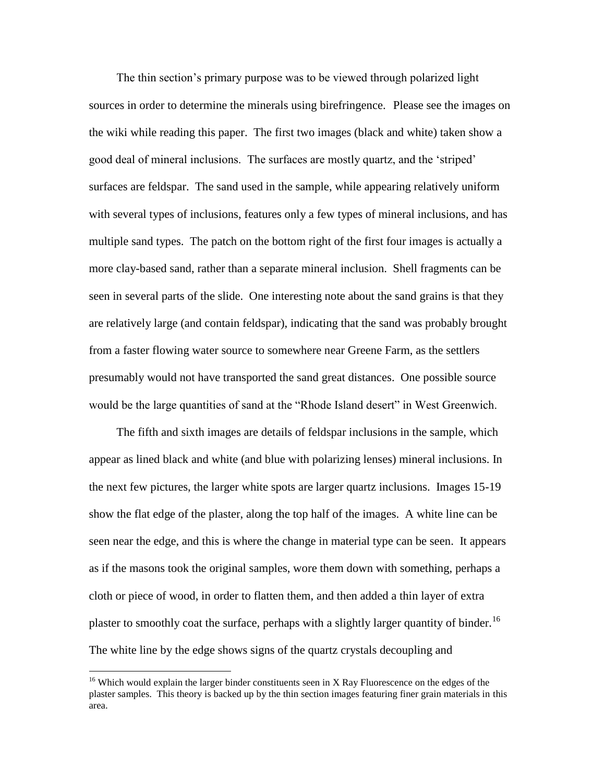The thin section's primary purpose was to be viewed through polarized light sources in order to determine the minerals using birefringence. Please see the images on the wiki while reading this paper. The first two images (black and white) taken show a good deal of mineral inclusions. The surfaces are mostly quartz, and the 'striped' surfaces are feldspar. The sand used in the sample, while appearing relatively uniform with several types of inclusions, features only a few types of mineral inclusions, and has multiple sand types. The patch on the bottom right of the first four images is actually a more clay-based sand, rather than a separate mineral inclusion. Shell fragments can be seen in several parts of the slide. One interesting note about the sand grains is that they are relatively large (and contain feldspar), indicating that the sand was probably brought from a faster flowing water source to somewhere near Greene Farm, as the settlers presumably would not have transported the sand great distances. One possible source would be the large quantities of sand at the "Rhode Island desert" in West Greenwich.

The fifth and sixth images are details of feldspar inclusions in the sample, which appear as lined black and white (and blue with polarizing lenses) mineral inclusions. In the next few pictures, the larger white spots are larger quartz inclusions. Images 15-19 show the flat edge of the plaster, along the top half of the images. A white line can be seen near the edge, and this is where the change in material type can be seen. It appears as if the masons took the original samples, wore them down with something, perhaps a cloth or piece of wood, in order to flatten them, and then added a thin layer of extra plaster to smoothly coat the surface, perhaps with a slightly larger quantity of binder.<sup>16</sup> The white line by the edge shows signs of the quartz crystals decoupling and

 $16$  Which would explain the larger binder constituents seen in X Ray Fluorescence on the edges of the plaster samples. This theory is backed up by the thin section images featuring finer grain materials in this area.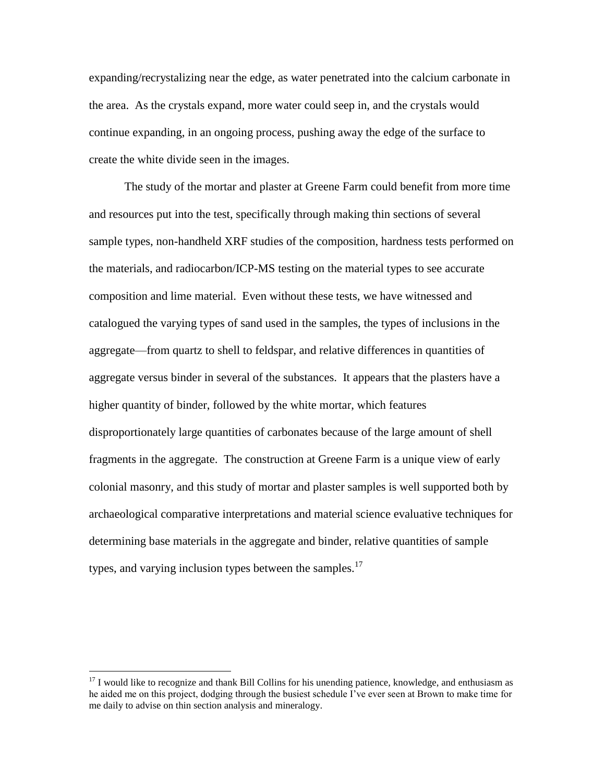expanding/recrystalizing near the edge, as water penetrated into the calcium carbonate in the area. As the crystals expand, more water could seep in, and the crystals would continue expanding, in an ongoing process, pushing away the edge of the surface to create the white divide seen in the images.

The study of the mortar and plaster at Greene Farm could benefit from more time and resources put into the test, specifically through making thin sections of several sample types, non-handheld XRF studies of the composition, hardness tests performed on the materials, and radiocarbon/ICP-MS testing on the material types to see accurate composition and lime material. Even without these tests, we have witnessed and catalogued the varying types of sand used in the samples, the types of inclusions in the aggregate—from quartz to shell to feldspar, and relative differences in quantities of aggregate versus binder in several of the substances. It appears that the plasters have a higher quantity of binder, followed by the white mortar, which features disproportionately large quantities of carbonates because of the large amount of shell fragments in the aggregate. The construction at Greene Farm is a unique view of early colonial masonry, and this study of mortar and plaster samples is well supported both by archaeological comparative interpretations and material science evaluative techniques for determining base materials in the aggregate and binder, relative quantities of sample types, and varying inclusion types between the samples.<sup>17</sup>

<sup>&</sup>lt;sup>17</sup> I would like to recognize and thank Bill Collins for his unending patience, knowledge, and enthusiasm as he aided me on this project, dodging through the busiest schedule I've ever seen at Brown to make time for me daily to advise on thin section analysis and mineralogy.